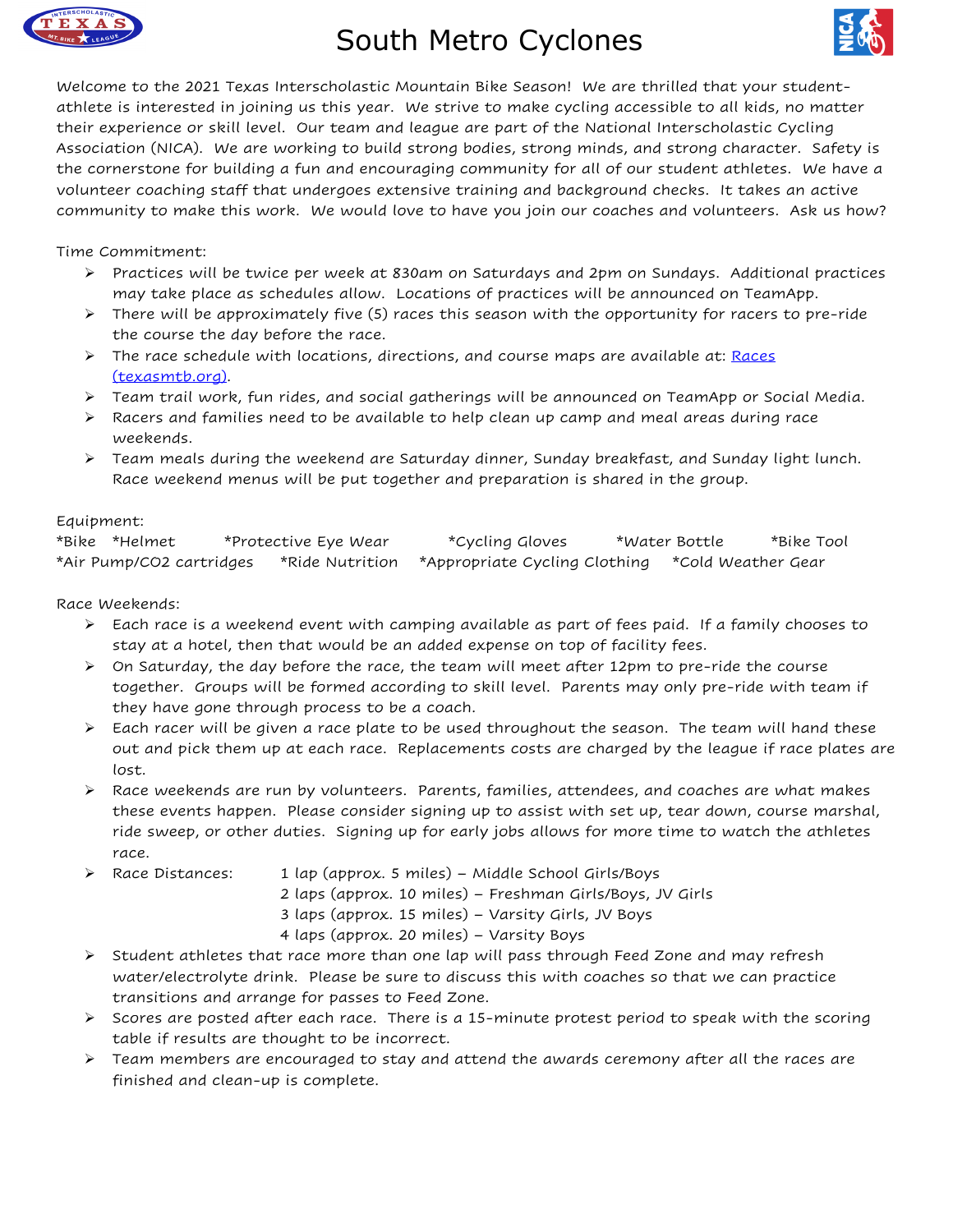

## South Metro Cyclones



Welcome to the 2021 Texas Interscholastic Mountain Bike Season! We are thrilled that your studentathlete is interested in joining us this year. We strive to make cycling accessible to all kids, no matter their experience or skill level. Our team and league are part of the National Interscholastic Cycling Association (NICA). We are working to build strong bodies, strong minds, and strong character. Safety is the cornerstone for building a fun and encouraging community for all of our student athletes. We have a volunteer coaching staff that undergoes extensive training and background checks. It takes an active community to make this work. We would love to have you join our coaches and volunteers. Ask us how?

Time Commitment:

- $\triangleright$  Practices will be twice per week at 830am on Saturdays and 2pm on Sundays. Additional practices may take place as schedules allow. Locations of practices will be announced on TeamApp.
- $\triangleright$  There will be approximately five (5) races this season with the opportunity for racers to pre-ride the course the day before the race.
- $\triangleright$  The race schedule with locations, directions, and course maps are available at: Races (texasmtb.org).
- $\triangleright$  Team trail work, fun rides, and social gatherings will be announced on TeamApp or Social Media.
- $\triangleright$  Racers and families need to be available to help clean up camp and meal areas during race weekends.
- $\triangleright$  Team meals during the weekend are Saturday dinner, Sunday breakfast, and Sunday light lunch. Race weekend menus will be put together and preparation is shared in the group.

## Equipment:

| *Bike *Helmet            | *Protective Eye Wear | <i>*Cycling Gloves</i>        | *Water Bottle |                    | *Bike Tool |
|--------------------------|----------------------|-------------------------------|---------------|--------------------|------------|
| *Air Pump/CO2 cartridges | *Ride Nutrition      | *Appropriate Cycling Clothing |               | *Cold Weather Gear |            |

Race Weekends:

- $\triangleright$  Each race is a weekend event with camping available as part of fees paid. If a family chooses to stay at a hotel, then that would be an added expense on top of facility fees.
- $\triangleright$  On Saturday, the day before the race, the team will meet after 12pm to pre-ride the course together. Groups will be formed according to skill level. Parents may only pre-ride with team if they have gone through process to be a coach.
- $\triangleright$  Each racer will be given a race plate to be used throughout the season. The team will hand these out and pick them up at each race. Replacements costs are charged by the league if race plates are lost.
- Ø Race weekends are run by volunteers. Parents, families, attendees, and coaches are what makes these events happen. Please consider signing up to assist with set up, tear down, course marshal, ride sweep, or other duties. Signing up for early jobs allows for more time to watch the athletes race.
- Ø Race Distances: 1 lap (approx. 5 miles) Middle School Girls/Boys
	- 2 laps (approx. 10 miles) Freshman Girls/Boys, JV Girls
	- 3 laps (approx. 15 miles) Varsity Girls, JV Boys

4 laps (approx. 20 miles) – Varsity Boys

- $\triangleright$  Student athletes that race more than one lap will pass through Feed Zone and may refresh water/electrolyte drink. Please be sure to discuss this with coaches so that we can practice transitions and arrange for passes to Feed Zone.
- $\triangleright$  Scores are posted after each race. There is a 15-minute protest period to speak with the scoring table if results are thought to be incorrect.
- $\triangleright$  Team members are encouraged to stay and attend the awards ceremony after all the races are finished and clean-up is complete.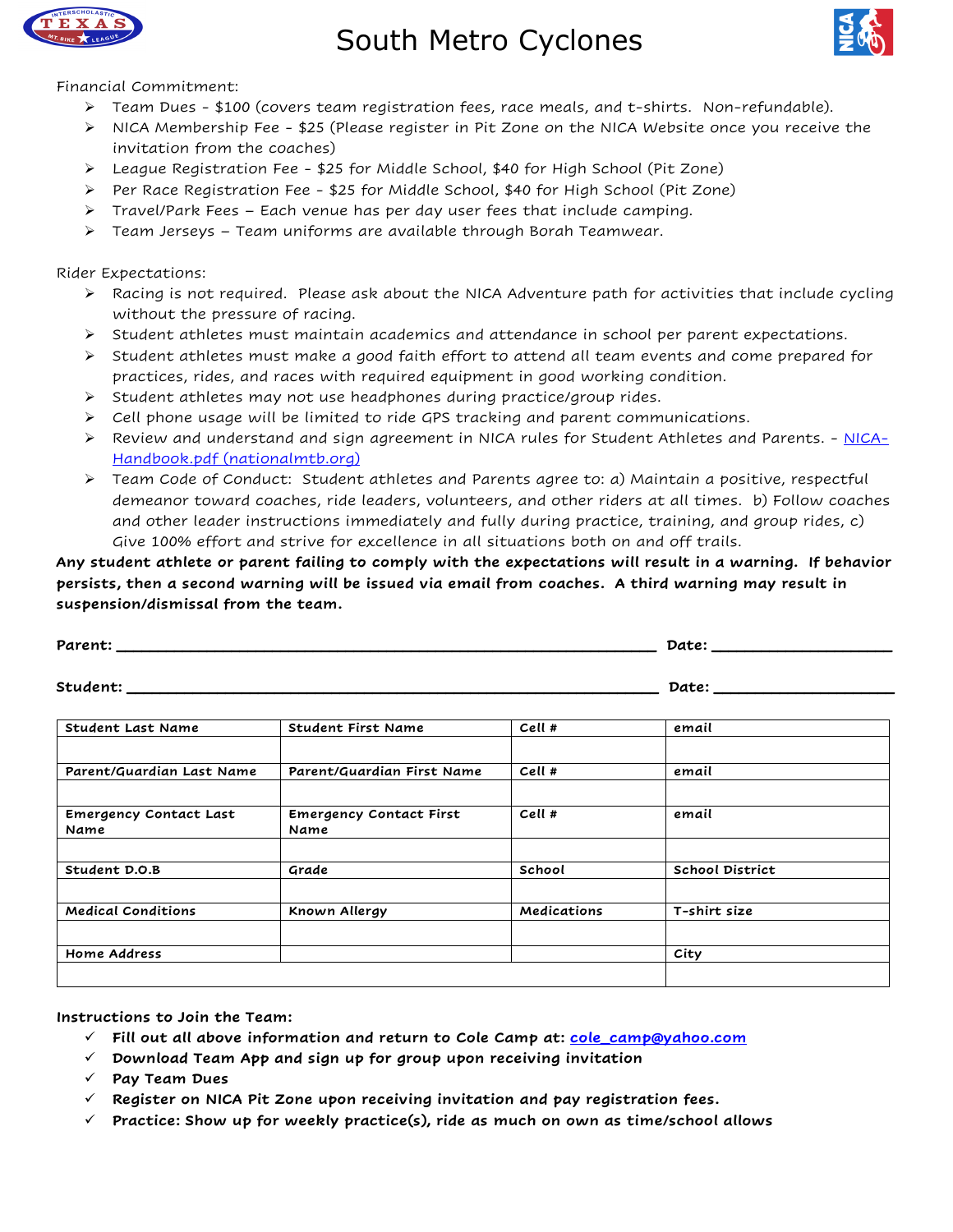

South Metro Cyclones



Financial Commitment:

- $\triangleright$  Team Dues \$100 (covers team registration fees, race meals, and t-shirts. Non-refundable).
- Ø NICA Membership Fee \$25 (Please register in Pit Zone on the NICA Website once you receive the invitation from the coaches)
- $\triangleright$  League Registration Fee \$25 for Middle School, \$40 for High School (Pit Zone)
- $\triangleright$  Per Race Registration Fee \$25 for Middle School, \$40 for High School (Pit Zone)
- $\triangleright$  Travel/Park Fees Each venue has per day user fees that include camping.
- $\triangleright$  Team Jerseys Team uniforms are available through Borah Teamwear.

Rider Expectations:

- $\triangleright$  Racing is not required. Please ask about the NICA Adventure path for activities that include cycling without the pressure of racing.
- $\triangleright$  Student athletes must maintain academics and attendance in school per parent expectations.
- $\triangleright$  Student athletes must make a good faith effort to attend all team events and come prepared for practices, rides, and races with required equipment in good working condition.
- $\triangleright$  Student athletes may not use headphones during practice/group rides.
- $\triangleright$  Cell phone usage will be limited to ride GPS tracking and parent communications.
- $\triangleright$  Review and understand and sign agreement in NICA rules for Student Athletes and Parents. NICA-Handbook.pdf (nationalmtb.org)
- $\triangleright$  Team Code of Conduct: Student athletes and Parents agree to: a) Maintain a positive, respectful demeanor toward coaches, ride leaders, volunteers, and other riders at all times. b) Follow coaches and other leader instructions immediately and fully during practice, training, and group rides, c) Give 100% effort and strive for excellence in all situations both on and off trails.

**Any student athlete or parent failing to comply with the expectations will result in a warning. If behavior persists, then a second warning will be issued via email from coaches. A third warning may result in suspension/dismissal from the team.** 

|                                       |                                        | Date:       |                        |  |
|---------------------------------------|----------------------------------------|-------------|------------------------|--|
| Student: ________                     |                                        | Date:       |                        |  |
| <b>Student Last Name</b>              | Student First Name                     | Cell #      | email                  |  |
| Parent/Guardian Last Name             | Parent/Guardian First Name             | Cell #      | email                  |  |
| <b>Emergency Contact Last</b><br>Name | <b>Emergency Contact First</b><br>Name | Cell #      | email                  |  |
| Student D.O.B                         | Grade                                  | School      | <b>School District</b> |  |
| <b>Medical Conditions</b>             | Known Allergy                          | Medications | T-shirt size           |  |
| Home Address                          |                                        |             | City                   |  |
|                                       |                                        |             |                        |  |

**Instructions to Join the Team:**

- ü **Fill out all above information and return to Cole Camp at: cole\_camp@yahoo.com**
- ü **Download Team App and sign up for group upon receiving invitation**
- ü **Pay Team Dues**
- $\checkmark$  Register on NICA Pit Zone upon receiving invitation and pay registration fees.
- $\checkmark$  Practice: Show up for weekly practice(s), ride as much on own as time/school allows